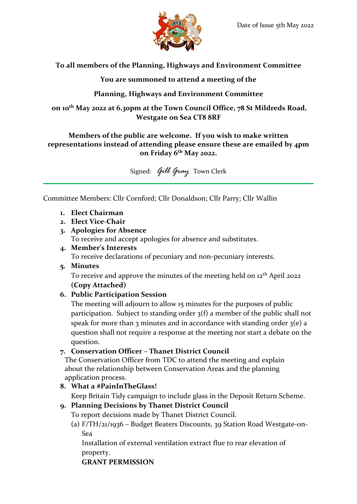

**To all members of the Planning, Highways and Environment Committee**

**You are summoned to attend a meeting of the**

**Planning, Highways and Environment Committee**

**on 10th May 2022 at 6.30pm at the Town Council Office, 78 St Mildreds Road, Westgate on Sea CT8 8RF**

### **Members of the public are welcome. If you wish to make written representations instead of attending please ensure these are emailed by 4pm on Friday 6th May 2022.**

Signed: *Gill Gray* Town Clerk

Committee Members: Cllr Cornford; Cllr Donaldson; Cllr Parry; Cllr Wallin

- **1. Elect Chairman**
- **2. Elect Vice-Chair**
- **3. Apologies for Absence**

To receive and accept apologies for absence and substitutes.

**4. Member's Interests**

To receive declarations of pecuniary and non-pecuniary interests.

**5. Minutes**

To receive and approve the minutes of the meeting held on 12<sup>th</sup> April 2022 **(Copy Attached)**

# **6. Public Participation Session**

The meeting will adjourn to allow 15 minutes for the purposes of public participation. Subject to standing order 3(f) a member of the public shall not speak for more than 3 minutes and in accordance with standing order  $3(e)$  a question shall not require a response at the meeting nor start a debate on the question.

## **7. Conservation Officer – Thanet District Council**

The Conservation Officer from TDC to attend the meeting and explain about the relationship between Conservation Areas and the planning application process.

## **8. What a #PainInTheGlass!**

Keep Britain Tidy campaign to include glass in the Deposit Return Scheme.

## **9. Planning Decisions by Thanet District Council**

To report decisions made by Thanet District Council.

(a) F/TH/21/1936 – Budget Beaters Discounts, 39 Station Road Westgate-on-Sea

Installation of external ventilation extract flue to rear elevation of property.

**GRANT PERMISSION**